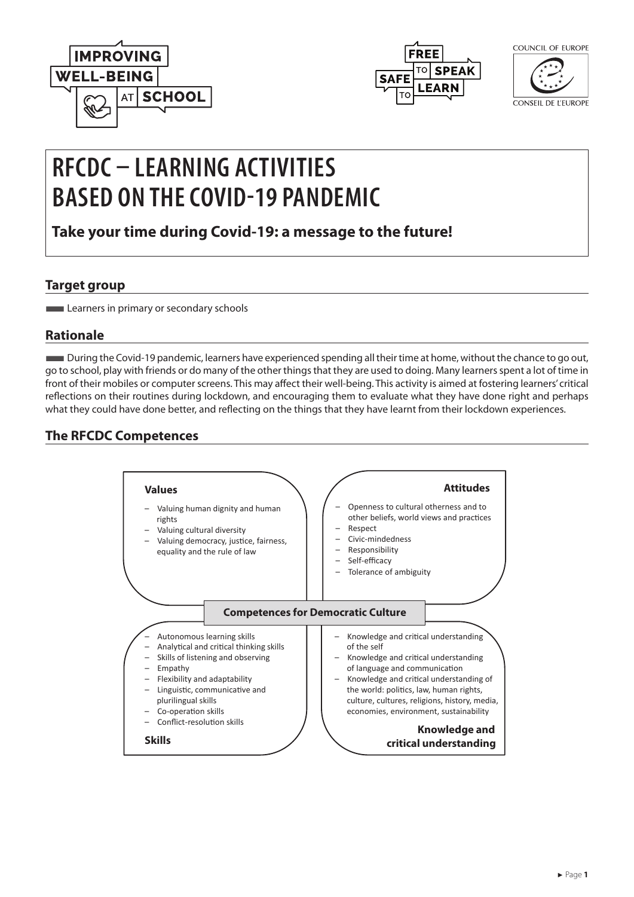



| COUNCIL OF EUROPE |  |
|-------------------|--|
|                   |  |

CONSEIL DE L'EUROPE

# **RFCDC – LEARNING ACTIVITIES BASED ON THE COVID-19 PANDEMIC**

**Take your time during Covid-19: a message to the future!**

## **Target group**

**Learners in primary or secondary schools** 

# **Rationale**

■During the Covid-19 pandemic, learners have experienced spending all their time at home, without the chance to go out, go to school, play with friends or do many of the other things that they are used to doing. Many learners spent a lot of time in front of their mobiles or computer screens. This may affect their well-being. This activity is aimed at fostering learners' critical reflections on their routines during lockdown, and encouraging them to evaluate what they have done right and perhaps what they could have done better, and reflecting on the things that they have learnt from their lockdown experiences.

# **The RFCDC Competences**

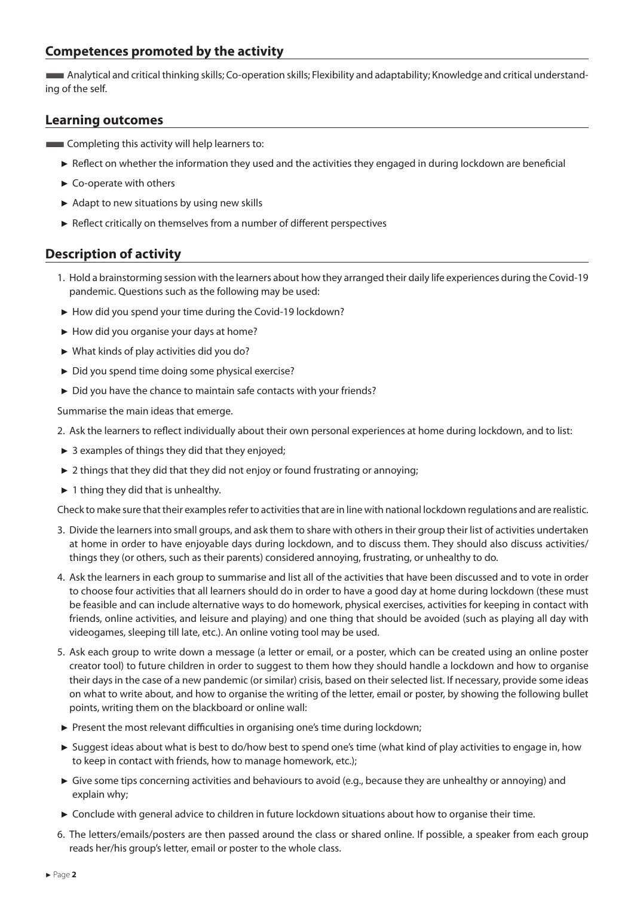### **Competences promoted by the activity**

■Analytical and critical thinking skills; Co-operation skills; Flexibility and adaptability; Knowledge and critical understanding of the self.

#### **Learning outcomes**

**EXECOMPLER** Completing this activity will help learners to:

- ► Reflect on whether the information they used and the activities they engaged in during lockdown are beneficial
- ► Co-operate with others
- ► Adapt to new situations by using new skills
- ► Reflect critically on themselves from a number of different perspectives

### **Description of activity**

- 1. Hold a brainstorming session with the learners about how they arranged their daily life experiences during the Covid-19 pandemic. Questions such as the following may be used:
- ► How did you spend your time during the Covid-19 lockdown?
- ► How did you organise your days at home?
- ► What kinds of play activities did you do?
- ► Did you spend time doing some physical exercise?
- ► Did you have the chance to maintain safe contacts with your friends?

Summarise the main ideas that emerge.

- 2. Ask the learners to reflect individually about their own personal experiences at home during lockdown, and to list:
- $\triangleright$  3 examples of things they did that they enjoyed;
- ► 2 things that they did that they did not enjoy or found frustrating or annoying;
- ► 1 thing they did that is unhealthy.

Check to make sure that their examples refer to activities that are in line with national lockdown regulations and are realistic.

- 3. Divide the learners into small groups, and ask them to share with others in their group their list of activities undertaken at home in order to have enjoyable days during lockdown, and to discuss them. They should also discuss activities/ things they (or others, such as their parents) considered annoying, frustrating, or unhealthy to do.
- 4. Ask the learners in each group to summarise and list all of the activities that have been discussed and to vote in order to choose four activities that all learners should do in order to have a good day at home during lockdown (these must be feasible and can include alternative ways to do homework, physical exercises, activities for keeping in contact with friends, online activities, and leisure and playing) and one thing that should be avoided (such as playing all day with videogames, sleeping till late, etc.). An online voting tool may be used.
- 5. Ask each group to write down a message (a letter or email, or a poster, which can be created using an online poster creator tool) to future children in order to suggest to them how they should handle a lockdown and how to organise their days in the case of a new pandemic (or similar) crisis, based on their selected list. If necessary, provide some ideas on what to write about, and how to organise the writing of the letter, email or poster, by showing the following bullet points, writing them on the blackboard or online wall:
- ► Present the most relevant difficulties in organising one's time during lockdown;
- ► Suggest ideas about what is best to do/how best to spend one's time (what kind of play activities to engage in, how to keep in contact with friends, how to manage homework, etc.);
- ► Give some tips concerning activities and behaviours to avoid (e.g., because they are unhealthy or annoying) and explain why;
- ► Conclude with general advice to children in future lockdown situations about how to organise their time.
- 6. The letters/emails/posters are then passed around the class or shared online. If possible, a speaker from each group reads her/his group's letter, email or poster to the whole class.